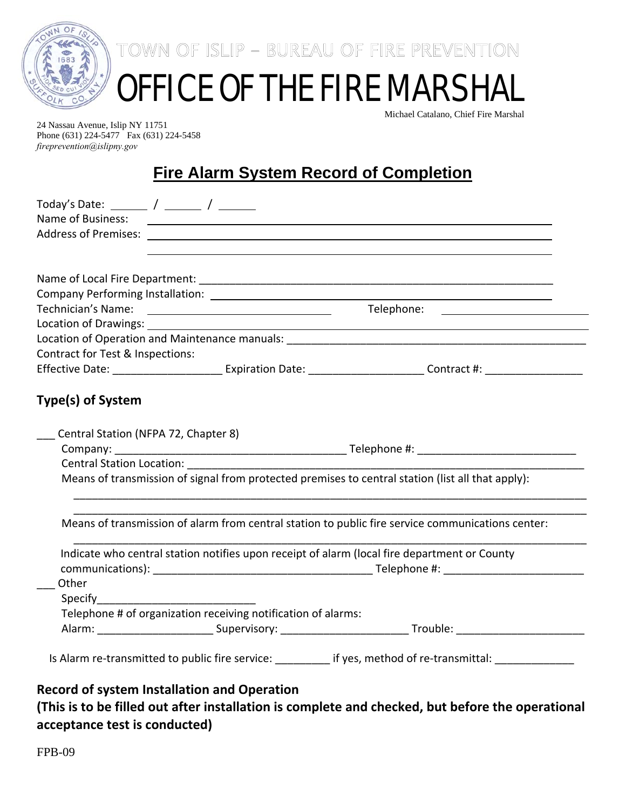

TOWN OF ISLIP - BUREAU OF FIRE PREVENTION

## OFFICE OF THE FIRE MARSHAL

Michael Catalano, Chief Fire Marshal

24 Nassau Avenue, Islip NY 11751 Phone (631) 224-5477 Fax (631) 224-5458 *fireprevention@islipny.gov*

## **Fire Alarm System Record of Completion**

| Name of Business:                                  |                                                                | <u> 1990 - Johann John Stone, marking ar yn y brening yn y brening yn y brening yn y brening y brening yn y breni</u> |  |  |
|----------------------------------------------------|----------------------------------------------------------------|-----------------------------------------------------------------------------------------------------------------------|--|--|
|                                                    |                                                                |                                                                                                                       |  |  |
|                                                    |                                                                |                                                                                                                       |  |  |
|                                                    |                                                                |                                                                                                                       |  |  |
|                                                    |                                                                |                                                                                                                       |  |  |
|                                                    |                                                                |                                                                                                                       |  |  |
|                                                    |                                                                |                                                                                                                       |  |  |
| Contract for Test & Inspections:                   |                                                                |                                                                                                                       |  |  |
|                                                    |                                                                |                                                                                                                       |  |  |
| Central Station (NFPA 72, Chapter 8)               |                                                                |                                                                                                                       |  |  |
|                                                    | <b>Central Station Location:</b> The Contral Station Location: | Means of transmission of signal from protected premises to central station (list all that apply):                     |  |  |
|                                                    |                                                                | Means of transmission of alarm from central station to public fire service communications center:                     |  |  |
|                                                    |                                                                | Indicate who central station notifies upon receipt of alarm (local fire department or County                          |  |  |
|                                                    |                                                                |                                                                                                                       |  |  |
| Other                                              |                                                                |                                                                                                                       |  |  |
| <b>Specify Specify</b>                             |                                                                |                                                                                                                       |  |  |
|                                                    | Telephone # of organization receiving notification of alarms:  |                                                                                                                       |  |  |
|                                                    |                                                                |                                                                                                                       |  |  |
|                                                    |                                                                | Is Alarm re-transmitted to public fire service: __________ if yes, method of re-transmittal: ____________             |  |  |
|                                                    |                                                                |                                                                                                                       |  |  |
| <b>Record of system Installation and Operation</b> |                                                                |                                                                                                                       |  |  |

**(This is to be filled out after installation is complete and checked, but before the operational acceptance test is conducted)**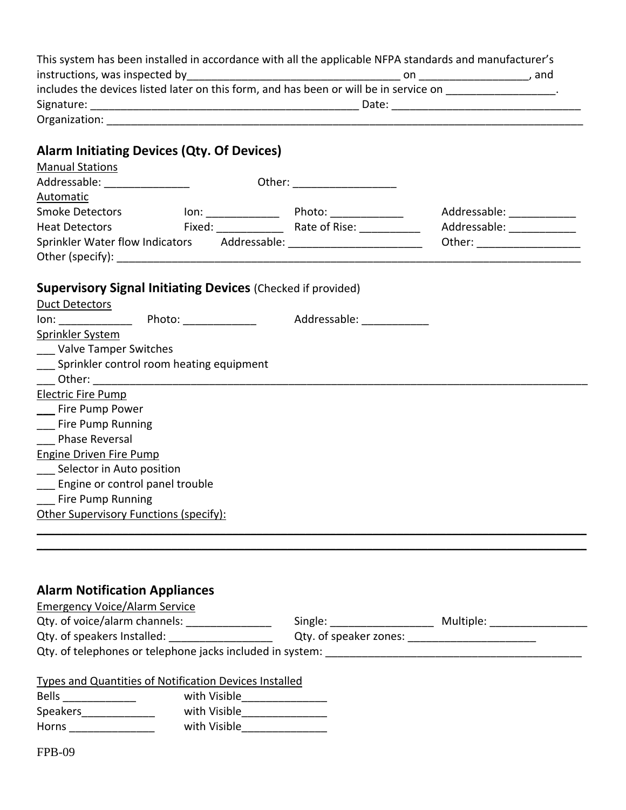|                                                                                                               |                             | This system has been installed in accordance with all the applicable NFPA standards and manufacturer's   |                             |
|---------------------------------------------------------------------------------------------------------------|-----------------------------|----------------------------------------------------------------------------------------------------------|-----------------------------|
|                                                                                                               |                             | includes the devices listed later on this form, and has been or will be in service on _________________. |                             |
|                                                                                                               |                             |                                                                                                          |                             |
|                                                                                                               |                             |                                                                                                          |                             |
|                                                                                                               |                             |                                                                                                          |                             |
| <b>Alarm Initiating Devices (Qty. Of Devices)</b>                                                             |                             |                                                                                                          |                             |
| <b>Manual Stations</b>                                                                                        |                             |                                                                                                          |                             |
| Addressable: _________________                                                                                | Other: ____________________ |                                                                                                          |                             |
| Automatic                                                                                                     |                             |                                                                                                          |                             |
|                                                                                                               |                             |                                                                                                          | Addressable: ____________   |
| <b>Heat Detectors</b>                                                                                         |                             |                                                                                                          | Addressable: ______________ |
| Sprinkler Water flow Indicators Addressable: [19] Addressable: [2] Addressable: [2] April 2012 [2] April 2013 |                             |                                                                                                          |                             |
|                                                                                                               |                             |                                                                                                          |                             |
|                                                                                                               |                             |                                                                                                          |                             |
| <b>Supervisory Signal Initiating Devices (Checked if provided)</b><br><b>Duct Detectors</b>                   |                             |                                                                                                          |                             |
| lon: Photo: Photo: Addressable: Manual Photo: Addressable:                                                    |                             |                                                                                                          |                             |
| Sprinkler System                                                                                              |                             |                                                                                                          |                             |
| <b>Valve Tamper Switches</b>                                                                                  |                             |                                                                                                          |                             |
| __ Sprinkler control room heating equipment                                                                   |                             |                                                                                                          |                             |
|                                                                                                               |                             |                                                                                                          |                             |
| <b>Electric Fire Pump</b>                                                                                     |                             |                                                                                                          |                             |
| ___ Fire Pump Power                                                                                           |                             |                                                                                                          |                             |
| ___ Fire Pump Running                                                                                         |                             |                                                                                                          |                             |
| <b>Phase Reversal</b>                                                                                         |                             |                                                                                                          |                             |
| <b>Engine Driven Fire Pump</b>                                                                                |                             |                                                                                                          |                             |
| ___ Selector in Auto position                                                                                 |                             |                                                                                                          |                             |
| __ Engine or control panel trouble                                                                            |                             |                                                                                                          |                             |
| <b>Fire Pump Running</b>                                                                                      |                             |                                                                                                          |                             |
| Other Supervisory Functions (specify):                                                                        |                             |                                                                                                          |                             |
|                                                                                                               |                             |                                                                                                          |                             |
|                                                                                                               |                             |                                                                                                          |                             |

## **Alarm Notification Appliances**

| <b>Emergency Voice/Alarm Service</b>                      |                        |           |  |
|-----------------------------------------------------------|------------------------|-----------|--|
| Qty. of voice/alarm channels:                             | Single:                | Multiple: |  |
| Qty. of speakers Installed:                               | Qty. of speaker zones: |           |  |
| Qty. of telephones or telephone jacks included in system: |                        |           |  |
|                                                           |                        |           |  |
| Types and Quantities of Notification Devices Installed    |                        |           |  |

| Types and Quantities of Nothication Devices installed |              |  |  |  |
|-------------------------------------------------------|--------------|--|--|--|
| <b>Bells</b>                                          | with Visible |  |  |  |
| <b>Speakers</b>                                       | with Visible |  |  |  |
| Horns                                                 | with Visible |  |  |  |